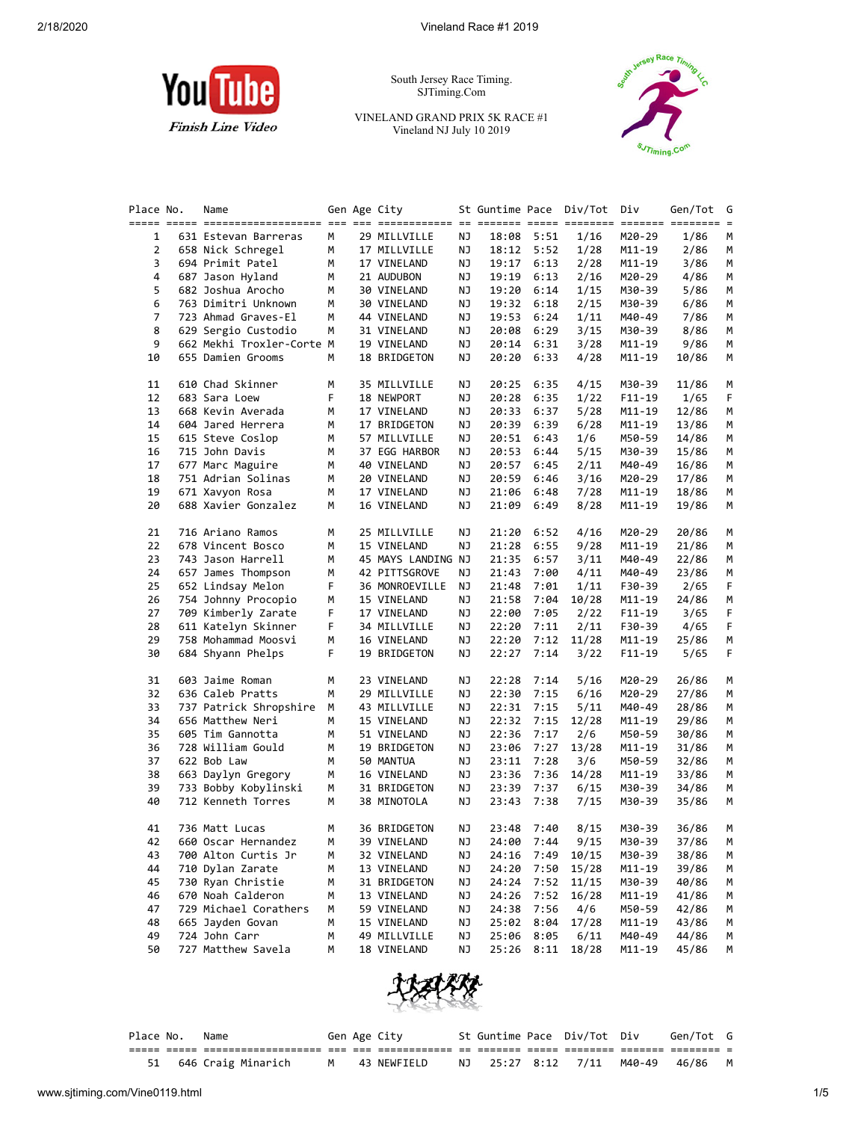

South Jersey Race Timing. SJTiming.Com

VINELAND GRAND PRIX 5K RACE #1 Vineland NJ July 10 2019



| Place No.      | Name                      |   | Gen Age City       |    | St Guntime Pace Div/Tot |            |       | Div      | Gen/Tot | G  |
|----------------|---------------------------|---|--------------------|----|-------------------------|------------|-------|----------|---------|----|
|                |                           |   |                    |    |                         |            |       |          |         |    |
| 1              | 631 Estevan Barreras      | М | 29 MILLVILLE       | ΝJ |                         | 18:08 5:51 | 1/16  | M20-29   | 1/86    | М  |
| $\overline{2}$ | 658 Nick Schregel         | М | 17 MILLVILLE       | ΝJ |                         | 18:12 5:52 | 1/28  | M11-19   | 2/86    | М  |
| 3              | 694 Primit Patel          | M | 17 VINELAND        | ΝJ | 19:17                   | 6:13       | 2/28  | M11-19   | 3/86    | М  |
| 4              | 687 Jason Hyland          | м | 21 AUDUBON         | ΝJ | 19:19                   | 6:13       | 2/16  | M20-29   | 4/86    | М  |
| 5              | 682 Joshua Arocho         | М | 30 VINELAND        | ΝJ | 19:20                   | 6:14       | 1/15  | M30-39   | 5/86    | М  |
| 6              | 763 Dimitri Unknown       | М | 30 VINELAND        | ΝJ | 19:32                   | 6:18       | 2/15  | M30-39   | 6/86    | м  |
| 7              | 723 Ahmad Graves-El       | М | 44 VINELAND        | ΝJ | 19:53                   | 6:24       | 1/11  | M40-49   | 7/86    | М  |
| 8              | 629 Sergio Custodio       | М | 31 VINELAND        | ΝJ | 20:08                   | 6:29       | 3/15  | M30-39   | 8/86    | М  |
| 9              | 662 Mekhi Troxler-Corte M |   | 19 VINELAND        | ΝJ | 20:14                   | 6:31       | 3/28  | M11-19   | 9/86    | М  |
| 10             | 655 Damien Grooms         | М | 18 BRIDGETON       | ΝJ | 20:20                   | 6:33       | 4/28  | M11-19   | 10/86   | М  |
| 11             | 610 Chad Skinner          | м | 35 MILLVILLE       | ΝJ | 20:25                   | 6:35       | 4/15  | M30-39   | 11/86   | м  |
| 12             | 683 Sara Loew             | F | 18 NEWPORT         | ΝJ | 20:28                   | 6:35       | 1/22  | $F11-19$ | 1/65    | F  |
| 13             | 668 Kevin Averada         | М | 17 VINELAND        | ΝJ | 20:33                   | 6:37       | 5/28  | M11-19   | 12/86   | М  |
| 14             | 604 Jared Herrera         | М | 17 BRIDGETON       | ΝJ | 20:39                   | 6:39       | 6/28  | M11-19   | 13/86   | М  |
| 15             | 615 Steve Coslop          | М | 57 MILLVILLE       | ΝJ | 20:51                   | 6:43       | 1/6   | M50-59   | 14/86   | М  |
| 16             | 715 John Davis            | М | 37 EGG HARBOR      | ΝJ | 20:53                   | 6:44       | 5/15  | M30-39   | 15/86   | М  |
| 17             | 677 Marc Maguire          | М | 40 VINELAND        | ΝJ | 20:57                   | 6:45       | 2/11  | M40-49   | 16/86   | м  |
| 18             | 751 Adrian Solinas        | М | 20 VINELAND        | ΝJ | 20:59                   | 6:46       | 3/16  | M20-29   | 17/86   | М  |
| 19             | 671 Xavyon Rosa           | М | 17 VINELAND        | ΝJ | 21:06                   | 6:48       | 7/28  | M11-19   | 18/86   | М  |
| 20             | 688 Xavier Gonzalez       | М | 16 VINELAND        | ΝJ | 21:09                   | 6:49       | 8/28  | M11-19   | 19/86   | М  |
| 21             | 716 Ariano Ramos          | М | 25 MILLVILLE       | ΝJ | 21:20                   | 6:52       | 4/16  | M20-29   | 20/86   | м  |
| 22             | 678 Vincent Bosco         | м | 15 VINELAND        | ΝJ | 21:28                   | 6:55       | 9/28  | M11-19   | 21/86   | м  |
| 23             | 743 Jason Harrell         | М | 45 MAYS LANDING NJ |    | 21:35                   | 6:57       | 3/11  | M40-49   | 22/86   | М  |
| 24             | 657 James Thompson        | M | 42 PITTSGROVE      | ΝJ | 21:43                   | 7:00       | 4/11  | M40-49   | 23/86   | М  |
| 25             | 652 Lindsay Melon         | F | 36 MONROEVILLE     | ΝJ | 21:48                   | 7:01       | 1/11  | F30-39   | 2/65    | F  |
| 26             | 754 Johnny Procopio       | м | 15 VINELAND        | ΝJ | 21:58                   | 7:04       | 10/28 | M11-19   | 24/86   | м  |
| 27             | 709 Kimberly Zarate       | F | 17 VINELAND        | ΝJ | 22:00                   | 7:05       | 2/22  | $F11-19$ | 3/65    | F  |
| 28             | 611 Katelyn Skinner       | F | 34 MILLVILLE       | ΝJ | 22:20                   | 7:11       | 2/11  | F30-39   | 4/65    | F. |
| 29             | 758 Mohammad Moosvi       | м | 16 VINELAND        | ΝJ | 22:20                   | 7:12       | 11/28 | M11-19   | 25/86   | М  |
| 30             | 684 Shyann Phelps         | F | 19 BRIDGETON       | ΝJ | 22:27                   | 7:14       | 3/22  | $F11-19$ | 5/65    | F. |
| 31             | 603 Jaime Roman           | М | 23 VINELAND        | ΝJ | 22:28                   | 7:14       | 5/16  | M20-29   | 26/86   | М  |
| 32             | 636 Caleb Pratts          | м | 29 MILLVILLE       | ΝJ | 22:30                   | 7:15       | 6/16  | M20-29   | 27/86   | м  |
| 33             | 737 Patrick Shropshire    | М | 43 MILLVILLE       | ΝJ | 22:31                   | 7:15       | 5/11  | M40-49   | 28/86   | м  |
| 34             | 656 Matthew Neri          | м | 15 VINELAND        | ΝJ | 22:32                   | 7:15       | 12/28 | M11-19   | 29/86   | м  |
| 35             | 605 Tim Gannotta          | м | 51 VINELAND        | ΝJ | 22:36                   | 7:17       | 2/6   | M50-59   | 30/86   | М  |
| 36             | 728 William Gould         | М | 19 BRIDGETON       | ΝJ | 23:06                   | 7:27       | 13/28 | M11-19   | 31/86   | М  |
| 37             | 622 Bob Law               | М | 50 MANTUA          | ΝJ | 23:11                   | 7:28       | 3/6   | M50-59   | 32/86   | М  |
| 38             | 663 Daylyn Gregory        | М | 16 VINELAND        | ΝJ | 23:36                   | 7:36       | 14/28 | M11-19   | 33/86   | М  |
| 39             | 733 Bobby Kobylinski      | М | 31 BRIDGETON       | ΝJ | 23:39                   | 7:37       | 6/15  | M30-39   | 34/86   | м  |
| 40             | 712 Kenneth Torres        | М | 38 MINOTOLA        | ΝJ | 23:43                   | 7:38       | 7/15  | M30-39   | 35/86   | М  |
| 41             | 736 Matt Lucas            | М | 36 BRIDGETON       | ΝJ |                         | 23:48 7:40 | 8/15  | M30-39   | 36/86   | М  |
| 42             | 660 Oscar Hernandez       | М | 39 VINELAND        | NJ |                         | 24:00 7:44 | 9/15  | M30-39   | 37/86   | M  |
| 43             | 700 Alton Curtis Jr       | М | 32 VINELAND        | ΝJ |                         | 24:16 7:49 | 10/15 | M30-39   | 38/86   | м  |
| 44             | 710 Dylan Zarate          | м | 13 VINELAND        | ΝJ | 24:20                   | 7:50       | 15/28 | M11-19   | 39/86   | M  |
| 45             | 730 Ryan Christie         | м | 31 BRIDGETON       | ΝJ | 24:24                   | 7:52       | 11/15 | M30-39   | 40/86   | M  |
| 46             | 670 Noah Calderon         | м | 13 VINELAND        | ΝJ | 24:26                   | 7:52       | 16/28 | M11-19   | 41/86   | M  |
| 47             | 729 Michael Corathers     | м | 59 VINELAND        | ΝJ | 24:38                   | 7:56       | 4/6   | M50-59   | 42/86   | M  |
| 48             | 665 Jayden Govan          | м | 15 VINELAND        | ΝJ | 25:02                   | 8:04       | 17/28 | M11-19   | 43/86   | M  |
| 49             | 724 John Carr             | м | 49 MILLVILLE       | ΝJ | 25:06                   | 8:05       | 6/11  | M40-49   | 44/86   | M  |
| 50             | 727 Matthew Savela        | м | 18 VINELAND        | ΝJ | 25:26                   | 8:11       | 18/28 | M11-19   | 45/86   | M  |



| Place No. | Name                  |  | Gen Age City  |  | St Guntime Pace Div/Tot Div | Gen/Tot G                       |  |
|-----------|-----------------------|--|---------------|--|-----------------------------|---------------------------------|--|
|           |                       |  |               |  |                             |                                 |  |
|           | 51 646 Craig Minarich |  | M 43 NEWFIELD |  |                             | NJ 25:27 8:12 7/11 M40-49 46/86 |  |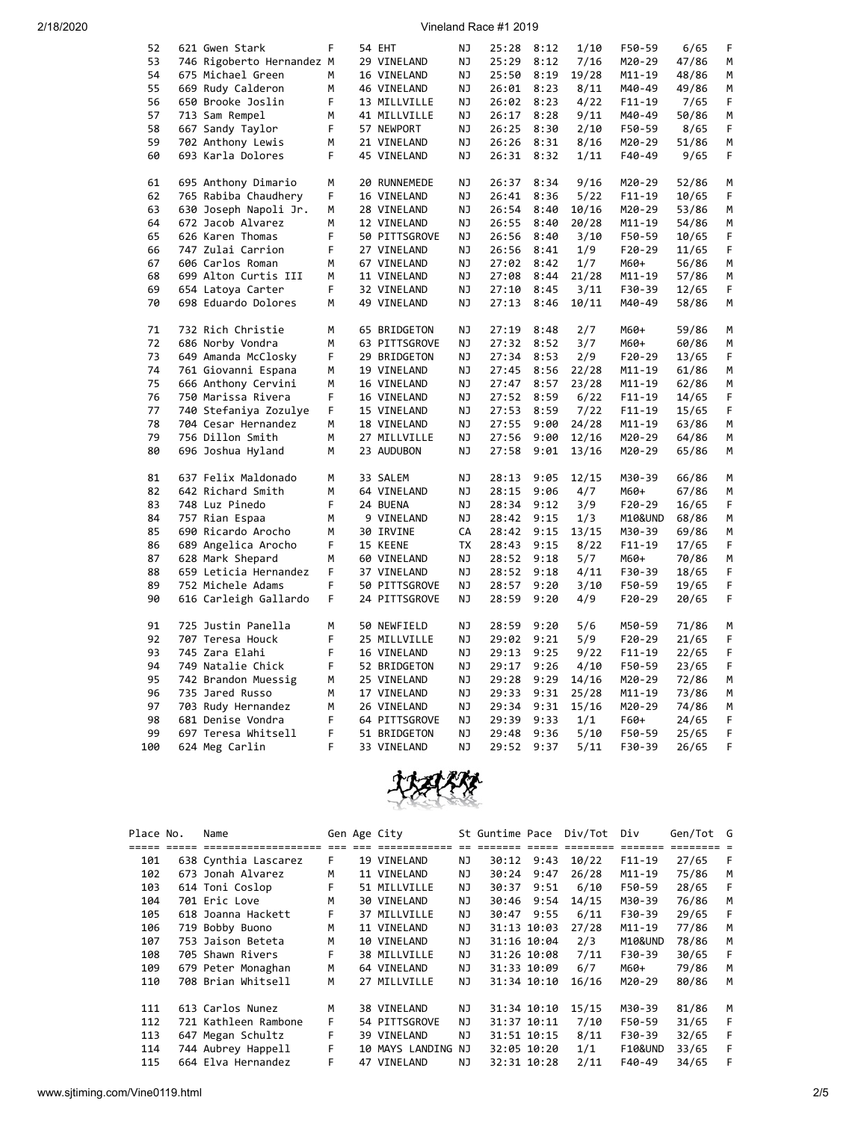| 52  | 621 Gwen Stark            | F | 54 EHT        | ΝJ        | 25:28 | 8:12 | 1/10  | F50-59     | 6/65  | F |
|-----|---------------------------|---|---------------|-----------|-------|------|-------|------------|-------|---|
| 53  | 746 Rigoberto Hernandez M |   | 29 VINELAND   | <b>NJ</b> | 25:29 | 8:12 | 7/16  | M20-29     | 47/86 | M |
| 54  | 675 Michael Green         | М | 16 VINELAND   | ΝJ        | 25:50 | 8:19 | 19/28 | M11-19     | 48/86 | М |
| 55  | 669 Rudy Calderon         | М | 46 VINELAND   | ΝJ        | 26:01 | 8:23 | 8/11  | M40-49     | 49/86 | М |
| 56  | 650 Brooke Joslin         | F | 13 MILLVILLE  | ΝJ        | 26:02 | 8:23 | 4/22  | $F11 - 19$ | 7/65  | F |
| 57  | 713 Sam Rempel            | M | 41 MILLVILLE  | ΝJ        | 26:17 | 8:28 | 9/11  | M40-49     | 50/86 | M |
| 58  | 667 Sandy Taylor          | F | 57 NEWPORT    | <b>NJ</b> | 26:25 | 8:30 | 2/10  | F50-59     | 8/65  | F |
| 59  | 702 Anthony Lewis         | M | 21 VINELAND   | NJ        | 26:26 | 8:31 | 8/16  | M20-29     | 51/86 | M |
| 60  | 693 Karla Dolores         | F | 45 VINELAND   | ΝJ        | 26:31 | 8:32 | 1/11  | F40-49     | 9/65  | F |
|     |                           |   |               |           |       |      |       |            |       |   |
| 61  | 695 Anthony Dimario       | M | 20 RUNNEMEDE  | ΝJ        | 26:37 | 8:34 | 9/16  | M20-29     | 52/86 | M |
| 62  | 765 Rabiba Chaudhery      | F | 16 VINELAND   | ΝJ        | 26:41 | 8:36 | 5/22  | $F11 - 19$ | 10/65 | F |
| 63  | 630 Joseph Napoli Jr.     | М | 28 VINELAND   | ΝJ        | 26:54 | 8:40 | 10/16 | M20-29     | 53/86 | М |
| 64  | 672 Jacob Alvarez         | М | 12 VINELAND   | ΝJ        | 26:55 | 8:40 | 20/28 | M11-19     | 54/86 | М |
| 65  | 626 Karen Thomas          | F | 50 PITTSGROVE | ΝJ        | 26:56 | 8:40 | 3/10  | F50-59     | 10/65 | F |
| 66  | 747 Zulai Carrion         | F | 27 VINELAND   | ΝJ        | 26:56 | 8:41 | 1/9   | $F20-29$   | 11/65 | F |
| 67  | 606 Carlos Roman          | M |               | NJ        | 27:02 | 8:42 | 1/7   | M60+       | 56/86 | M |
| 68  |                           | M | 67 VINELAND   |           |       |      |       |            |       | M |
|     | 699 Alton Curtis III      |   | 11 VINELAND   | ΝJ        | 27:08 | 8:44 | 21/28 | $M11 - 19$ | 57/86 |   |
| 69  | 654 Latoya Carter         | F | 32 VINELAND   | ΝJ        | 27:10 | 8:45 | 3/11  | F30-39     | 12/65 | F |
| 70  | 698 Eduardo Dolores       | М | 49 VINELAND   | ΝJ        | 27:13 | 8:46 | 10/11 | M40-49     | 58/86 | М |
| 71  | 732 Rich Christie         | M | 65 BRIDGETON  | NJ        | 27:19 | 8:48 | 2/7   | M60+       | 59/86 | М |
| 72  | 686 Norby Vondra          | M | 63 PITTSGROVE | <b>NJ</b> | 27:32 | 8:52 | 3/7   | M60+       | 60/86 | М |
| 73  | 649 Amanda McClosky       | F | 29 BRIDGETON  | ΝJ        | 27:34 | 8:53 | 2/9   | $F20-29$   | 13/65 | F |
| 74  |                           | М | 19 VINELAND   | ΝJ        | 27:45 | 8:56 | 22/28 |            |       | М |
|     | 761 Giovanni Espana       |   |               |           |       |      |       | M11-19     | 61/86 |   |
| 75  | 666 Anthony Cervini       | M | 16 VINELAND   | ΝJ        | 27:47 | 8:57 | 23/28 | M11-19     | 62/86 | M |
| 76  | 750 Marissa Rivera        | F | 16 VINELAND   | NJ        | 27:52 | 8:59 | 6/22  | $F11 - 19$ | 14/65 | F |
| 77  | 740 Stefaniya Zozulye     | F | 15 VINELAND   | ΝJ        | 27:53 | 8:59 | 7/22  | $F11 - 19$ | 15/65 | F |
| 78  | 704 Cesar Hernandez       | М | 18 VINELAND   | ΝJ        | 27:55 | 9:00 | 24/28 | M11-19     | 63/86 | М |
| 79  | 756 Dillon Smith          | М | 27 MILLVILLE  | ΝJ        | 27:56 | 9:00 | 12/16 | M20-29     | 64/86 | М |
| 80  | 696 Joshua Hyland         | M | 23 AUDUBON    | ΝJ        | 27:58 | 9:01 | 13/16 | M20-29     | 65/86 | M |
| 81  | 637 Felix Maldonado       | М | 33 SALEM      | ΝJ        | 28:13 | 9:05 | 12/15 | M30-39     | 66/86 | М |
| 82  | 642 Richard Smith         | M | 64 VINELAND   | ΝJ        | 28:15 | 9:06 | 4/7   | M60+       | 67/86 | М |
|     |                           | F |               |           |       |      |       |            |       |   |
| 83  | 748 Luz Pinedo            |   | 24 BUENA      | ΝJ        | 28:34 | 9:12 | 3/9   | $F20-29$   | 16/65 | F |
| 84  | 757 Rian Espaa            | М | 9 VINELAND    | ΝJ        | 28:42 | 9:15 | 1/3   | M10&UND    | 68/86 | M |
| 85  | 690 Ricardo Arocho        | M | 30 IRVINE     | СA        | 28:42 | 9:15 | 13/15 | M30-39     | 69/86 | М |
| 86  | 689 Angelica Arocho       | F | 15 KEENE      | <b>TX</b> | 28:43 | 9:15 | 8/22  | $F11 - 19$ | 17/65 | F |
| 87  | 628 Mark Shepard          | М | 60 VINELAND   | ΝJ        | 28:52 | 9:18 | 5/7   | M60+       | 70/86 | М |
| 88  | 659 Leticia Hernandez     | F | 37 VINELAND   | ΝJ        | 28:52 | 9:18 | 4/11  | F30-39     | 18/65 | F |
| 89  | 752 Michele Adams         | F | 50 PITTSGROVE | ΝJ        | 28:57 | 9:20 | 3/10  | F50-59     | 19/65 | F |
| 90  | 616 Carleigh Gallardo     | F | 24 PITTSGROVE | ΝJ        | 28:59 | 9:20 | 4/9   | F20-29     | 20/65 | F |
| 91  | 725 Justin Panella        | М |               | ΝJ        |       | 9:20 | 5/6   |            |       | М |
| 92  |                           | F | 50 NEWFIELD   |           | 28:59 |      |       | M50-59     | 71/86 | F |
|     | 707 Teresa Houck          |   | 25 MILLVILLE  | ΝJ        | 29:02 | 9:21 | 5/9   | $F20-29$   | 21/65 |   |
| 93  | 745 Zara Elahi            | F | 16 VINELAND   | ΝJ        | 29:13 | 9:25 | 9/22  | F11-19     | 22/65 | F |
| 94  | 749 Natalie Chick         | F | 52 BRIDGETON  | ΝJ        | 29:17 | 9:26 | 4/10  | F50-59     | 23/65 | F |
| 95  | 742 Brandon Muessig       | М | 25 VINELAND   | ΝJ        | 29:28 | 9:29 | 14/16 | M20-29     | 72/86 | М |
| 96  | 735 Jared Russo           | М | 17 VINELAND   | ΝJ        | 29:33 | 9:31 | 25/28 | M11-19     | 73/86 | М |
| 97  | 703 Rudy Hernandez        | М | 26 VINELAND   | ΝJ        | 29:34 | 9:31 | 15/16 | M20-29     | 74/86 | М |
| 98  | 681 Denise Vondra         | F | 64 PITTSGROVE | ΝJ        | 29:39 | 9:33 | 1/1   | F60+       | 24/65 | F |
| 99  | 697 Teresa Whitsell       | F | 51 BRIDGETON  | NJ        | 29:48 | 9:36 | 5/10  | F50-59     | 25/65 | F |
| 100 | 624 Meg Carlin            | F | 33 VINELAND   | NJ        | 29:52 | 9:37 | 5/11  | F30-39     | 26/65 | F |



| Place No. | Name                 |     | Gen Age City       |     | St Guntime Pace |             | Div/Tot  | Div                | Gen/Tot G |    |
|-----------|----------------------|-----|--------------------|-----|-----------------|-------------|----------|--------------------|-----------|----|
|           | ==================== | --- |                    |     |                 |             | ======== | --------           |           |    |
| 101       | 638 Cynthia Lascarez | F.  | 19 VINELAND        | ΝJ  | 30:12           | 9:43        | 10/22    | $F11-19$           | 27/65     | -F |
| 102       | 673 Jonah Alvarez    | м   | 11 VINELAND        | NJ  | 30:24           | 9:47        | 26/28    | $M11 - 19$         | 75/86     | M  |
| 103       | 614 Toni Coslop      | F.  | 51 MILLVILLE       | NJ  | 30:37           | 9:51        | 6/10     | F50-59             | 28/65     | F  |
| 104       | 701 Eric Love        | М   | 30 VINELAND        | NJ  | 30:46           | 9:54        | 14/15    | M30-39             | 76/86     | м  |
| 105       | 618 Joanna Hackett   | F   | 37 MILLVILLE       | NJ  | 30:47           | 9:55        | 6/11     | F30-39             | 29/65     | F  |
| 106       | 719 Bobby Buono      | М   | 11 VINELAND        | NJ. |                 | 31:13 10:03 | 27/28    | $M11 - 19$         | 77/86     | м  |
| 107       | 753 Jaison Beteta    | м   | 10 VINELAND        | NJ. |                 | 31:16 10:04 | 2/3      | M10&UND            | 78/86     | M  |
| 108       | 705 Shawn Rivers     | F   | 38 MILLVILLE       | ΝJ  |                 | 31:26 10:08 | 7/11     | F30-39             | 30/65     | F  |
| 109       | 679 Peter Monaghan   | М   | 64 VINELAND        | NJ  |                 | 31:33 10:09 | 6/7      | M60+               | 79/86     | м  |
| 110       | 708 Brian Whitsell   | М   | 27 MILLVILLE       | ΝJ  |                 | 31:34 10:10 | 16/16    | M20-29             | 80/86     | м  |
| 111       | 613 Carlos Nunez     | М   | 38 VINELAND        | NJ  |                 | 31:34 10:10 | 15/15    | M30-39             | 81/86     | м  |
| 112       | 721 Kathleen Rambone | F.  | 54 PITTSGROVE      | ΝJ  |                 | 31:37 10:11 | 7/10     | F50-59             | 31/65     | F  |
| 113       | 647 Megan Schultz    | F   | 39 VINELAND        | NJ  |                 | 31:51 10:15 | 8/11     | F30-39             | 32/65     | F  |
| 114       | 744 Aubrey Happell   | F.  | 10 MAYS LANDING NJ |     |                 | 32:05 10:20 | 1/1      | <b>F10&amp;UND</b> | 33/65     | F  |
| 115       | 664 Elva Hernandez   | F   | 47 VINELAND        | ΝJ  |                 | 32:31 10:28 | 2/11     | F40-49             | 34/65     | F  |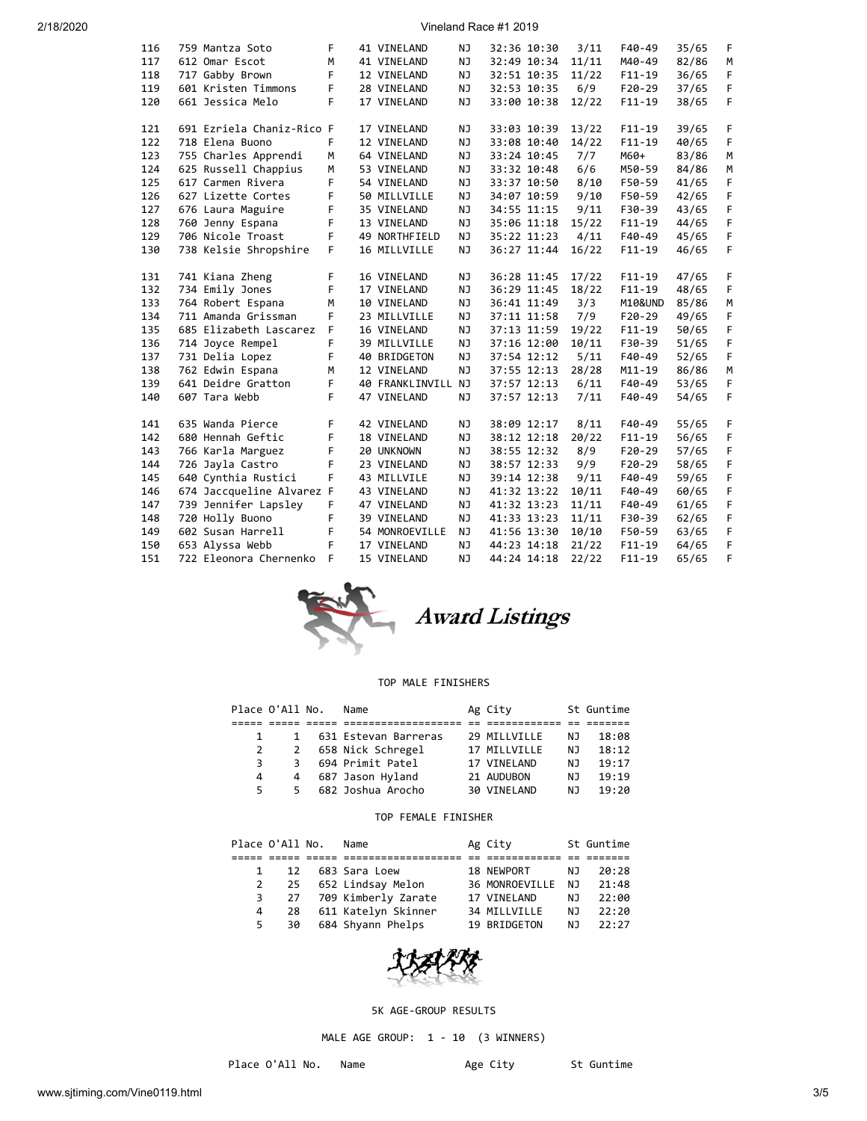| 116 | 759 Mantza Soto           | F  | 41 VINELAND        | ΝJ        | 32:36 10:30 | 3/11  | $F40-49$   | 35/65 | F |
|-----|---------------------------|----|--------------------|-----------|-------------|-------|------------|-------|---|
| 117 | 612 Omar Escot            | M  | 41 VINELAND        | NJ        | 32:49 10:34 | 11/11 | M40-49     | 82/86 | M |
| 118 | 717 Gabby Brown           | F. | 12 VINELAND        | NJ        | 32:51 10:35 | 11/22 | $F11 - 19$ | 36/65 | F |
| 119 | 601 Kristen Timmons       | F  | 28 VINELAND        | NJ        | 32:53 10:35 | 6/9   | $F20-29$   | 37/65 | F |
| 120 | 661 Jessica Melo          | F  | 17 VINELAND        | NJ        | 33:00 10:38 | 12/22 | $F11 - 19$ | 38/65 | F |
|     |                           |    |                    |           |             |       |            |       |   |
| 121 | 691 Ezriela Chaniz-Rico F |    | 17 VINELAND        | NJ        | 33:03 10:39 | 13/22 | $F11 - 19$ | 39/65 | F |
| 122 | 718 Elena Buono           | F  | 12 VINELAND        | NJ        | 33:08 10:40 | 14/22 | $F11-19$   | 40/65 | F |
| 123 | 755 Charles Apprendi      | M  | 64 VINELAND        | NJ        | 33:24 10:45 | 7/7   | M60+       | 83/86 | M |
| 124 | 625 Russell Chappius      | M  | 53 VINELAND        | NJ        | 33:32 10:48 | 6/6   | M50-59     | 84/86 | M |
| 125 | 617 Carmen Rivera         | F  | 54 VINELAND        | NJ        | 33:37 10:50 | 8/10  | F50-59     | 41/65 | F |
| 126 | 627 Lizette Cortes        | F  | 50 MILLVILLE       | NJ        | 34:07 10:59 | 9/10  | F50-59     | 42/65 | F |
| 127 | 676 Laura Maguire         | F  | 35 VINELAND        | NJ        | 34:55 11:15 | 9/11  | F30-39     | 43/65 | F |
| 128 | 760 Jenny Espana          | F  | 13 VINELAND        | NJ        | 35:06 11:18 | 15/22 | $F11 - 19$ | 44/65 | F |
| 129 | 706 Nicole Troast         | F  | 49 NORTHFIELD      | NJ        | 35:22 11:23 | 4/11  | F40-49     | 45/65 | F |
| 130 | 738 Kelsie Shropshire     | F  | 16 MILLVILLE       | NJ        | 36:27 11:44 | 16/22 | $F11 - 19$ | 46/65 | F |
|     |                           |    |                    |           |             |       |            |       |   |
| 131 | 741 Kiana Zheng           | F  | 16 VINELAND        | NJ        | 36:28 11:45 | 17/22 | $F11-19$   | 47/65 | F |
| 132 | 734 Emily Jones           | F  | 17 VINELAND        | NJ.       | 36:29 11:45 | 18/22 | $F11 - 19$ | 48/65 | F |
| 133 | 764 Robert Espana         | M  | 10 VINELAND        | NJ        | 36:41 11:49 | 3/3   | M10&UND    | 85/86 | M |
| 134 | 711 Amanda Grissman       | F  | 23 MILLVILLE       | NJ        | 37:11 11:58 | 7/9   | $F20-29$   | 49/65 | F |
| 135 | 685 Elizabeth Lascarez    | F  | 16 VINELAND        | NJ        | 37:13 11:59 | 19/22 | $F11 - 19$ | 50/65 | F |
| 136 | 714 Joyce Rempel          | F  | 39 MILLVILLE       | NJ        | 37:16 12:00 | 10/11 | F30-39     | 51/65 | F |
| 137 | 731 Delia Lopez           | F  | 40 BRIDGETON       | NJ        | 37:54 12:12 | 5/11  | F40-49     | 52/65 | F |
| 138 | 762 Edwin Espana          | M  | 12 VINELAND        | NJ        | 37:55 12:13 | 28/28 | M11-19     | 86/86 | M |
| 139 | 641 Deidre Gratton        | F  | 40 FRANKLINVILL NJ |           | 37:57 12:13 | 6/11  | $F40-49$   | 53/65 | F |
| 140 | 607 Tara Webb             | F  | 47 VINELAND        | NJ        | 37:57 12:13 | 7/11  | $F40-49$   | 54/65 | F |
|     |                           |    |                    |           |             |       |            |       |   |
| 141 | 635 Wanda Pierce          | F  | 42 VINELAND        | NJ        | 38:09 12:17 | 8/11  | $F40-49$   | 55/65 | F |
| 142 | 680 Hennah Geftic         | F  | 18 VINELAND        | NJ        | 38:12 12:18 | 20/22 | $F11 - 19$ | 56/65 | F |
| 143 | 766 Karla Marguez         | F  | 20 UNKNOWN         | NJ        | 38:55 12:32 | 8/9   | $F20-29$   | 57/65 | F |
| 144 | 726 Jayla Castro          | F  | 23 VINELAND        | NJ        | 38:57 12:33 | 9/9   | $F20-29$   | 58/65 | F |
| 145 | 640 Cynthia Rustici       | F  | 43 MILLVILE        | NJ        | 39:14 12:38 | 9/11  | $F40-49$   | 59/65 | F |
| 146 | 674 Jaccqueline Alvarez F |    | 43 VINELAND        | NJ        | 41:32 13:22 | 10/11 | F40-49     | 60/65 | F |
| 147 | 739 Jennifer Lapsley      | F  | 47 VINELAND        | NJ        | 41:32 13:23 | 11/11 | $F40-49$   | 61/65 | F |
| 148 | 720 Holly Buono           | F  | 39 VINELAND        | NJ        | 41:33 13:23 | 11/11 | F30-39     | 62/65 | F |
| 149 | 602 Susan Harrell         | F  | 54 MONROEVILLE     | <b>NJ</b> | 41:56 13:30 | 10/10 | F50-59     | 63/65 | F |
| 150 | 653 Alyssa Webb           | F  | 17 VINELAND        | NJ        | 44:23 14:18 | 21/22 | $F11 - 19$ | 64/65 | F |
| 151 | 722 Eleonora Chernenko    | F  | 15 VINELAND        | NJ        | 44:24 14:18 | 22/22 | $F11 - 19$ | 65/65 | F |
|     |                           |    |                    |           |             |       |            |       |   |



### TOP MALE FINISHERS

|    | Place O'All No. | Name                 | Ag City      |    | St Guntime |
|----|-----------------|----------------------|--------------|----|------------|
|    |                 |                      |              |    |            |
|    | 1               | 631 Estevan Barreras | 29 MILLVILLE | NJ | 18:08      |
|    | 2               | 658 Nick Schregel    | 17 MILLVILLE | NJ | 18:12      |
| 3. | 3               | 694 Primit Patel     | 17 VINELAND  | ΝJ | 19:17      |
| 4  | 4               | 687 Jason Hyland     | 21 AUDUBON   | NJ | 19:19      |
| 5. | 5.              | 682 Joshua Arocho    | 30 VINELAND  | ΝJ | 19:20      |

### TOP FEMALE FINISHER

| Place O'All No. |    | Name                   | Ag City        |                | St Guntime |
|-----------------|----|------------------------|----------------|----------------|------------|
|                 |    |                        |                |                |            |
|                 | 12 | 683 Sara Loew          | 18 NEWPORT     | NJ.            | 20:28      |
|                 |    | 2 25 652 Lindsay Melon | 36 MONROEVILLE | - NJ           | 21:48      |
| 3               |    | 27 709 Kimberly Zarate | 17 VINELAND    | NJ             | 22:00      |
| 4               | 28 | 611 Katelyn Skinner    | 34 MILLVILLE   | NJ.            | 22:20      |
| 5               | 30 | 684 Shyann Phelps      | 19 BRIDGETON   | N <sub>1</sub> | 22:27      |



# 5K AGE-GROUP RESULTS

MALE AGE GROUP: 1 - 10 (3 WINNERS)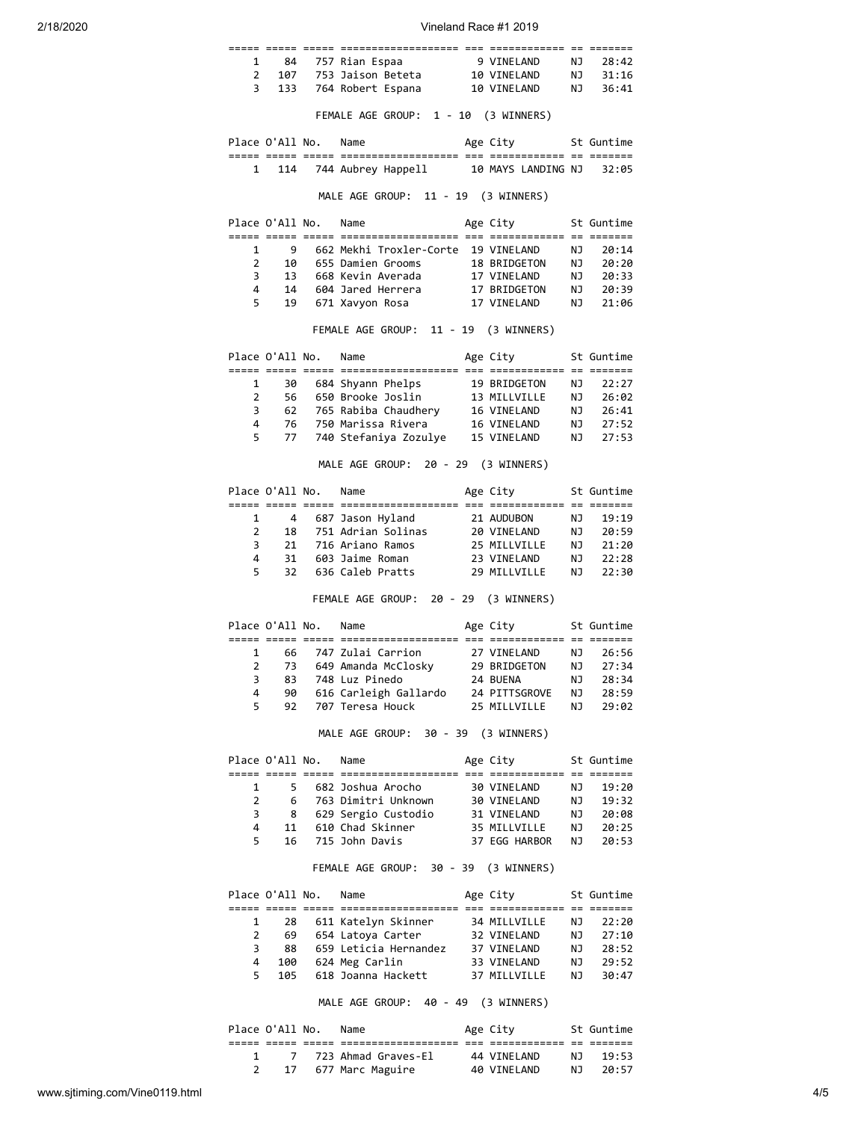| 1              | 84                    |                      |                                                                                                                                    |                                                                       |                | NJ 28:42   |
|----------------|-----------------------|----------------------|------------------------------------------------------------------------------------------------------------------------------------|-----------------------------------------------------------------------|----------------|------------|
| $\overline{2}$ |                       |                      | 84 757 Rian Espaa               9 VINELAND     NJ<br>107     753 Jaison Beteta           10 VINELAND     NJ                        |                                                                       |                | 31:16      |
|                | 3 <sup>7</sup><br>133 |                      | 764 Robert Espana                                                                                                                  | 10 VINELAND NJ                                                        |                | 36:41      |
|                |                       |                      |                                                                                                                                    |                                                                       |                |            |
|                |                       |                      | FEMALE AGE GROUP: 1 - 10 (3 WINNERS)                                                                                               |                                                                       |                |            |
|                |                       |                      | Place O'All No. Name                                                                                                               | Age City 5t Guntime                                                   |                |            |
|                |                       |                      | 1 114 744 Aubrey Happell 10 MAYS LANDING NJ 32:05                                                                                  |                                                                       |                |            |
|                |                       |                      |                                                                                                                                    |                                                                       |                |            |
|                |                       |                      | MALE AGE GROUP: 11 - 19 (3 WINNERS)                                                                                                |                                                                       |                |            |
|                |                       | Place O'All No. Name |                                                                                                                                    | Age City 5t Guntime                                                   |                |            |
| 1              | 9                     |                      | 662 Mekhi Troxler-Corte 19 VINELAND                                                                                                |                                                                       | NJ 1           | 20:14      |
| $\overline{2}$ |                       |                      | 10 655 Damien Grooms 18 BRIDGETON                                                                                                  |                                                                       |                | $NJ$ 20:20 |
| 3              |                       |                      |                                                                                                                                    |                                                                       |                |            |
| 4              |                       |                      |                                                                                                                                    |                                                                       |                |            |
| 5              |                       |                      | 13 668 Kevin Averada<br>14 604 Jared Herrera 17 VINELAND NJ 20:39<br>19 671 Xavyon Rosa 17 VINELAND NJ 21:06<br>19 671 Xavyon Rosa |                                                                       |                |            |
|                |                       |                      |                                                                                                                                    |                                                                       |                |            |
|                |                       |                      | FEMALE AGE GROUP: 11 - 19 (3 WINNERS)                                                                                              |                                                                       |                |            |
|                |                       |                      | Place O'All No. Name                                                                                                               | Age City 5t Guntime                                                   |                |            |
| 1              |                       |                      |                                                                                                                                    |                                                                       |                | NJ 22:27   |
| $\overline{2}$ |                       |                      |                                                                                                                                    |                                                                       |                |            |
| 3              |                       |                      |                                                                                                                                    |                                                                       |                |            |
| 4              |                       |                      |                                                                                                                                    | 13 MILLVILLE NJ 26:02<br>16 VINELAND NJ 26:41<br>16 VINELAND NJ 27:52 |                |            |
| 5              | 77                    |                      | 740 Stefaniya Zozulye 15 VINELAND                                                                                                  |                                                                       |                | NJ 27:53   |
|                |                       |                      |                                                                                                                                    |                                                                       |                |            |
|                |                       |                      | MALE AGE GROUP: 20 - 29 (3 WINNERS)                                                                                                |                                                                       |                |            |
|                |                       | Place O'All No. Name |                                                                                                                                    | Age City                                                              |                | St Guntime |
|                |                       |                      |                                                                                                                                    |                                                                       |                |            |
| $\mathbf{1}$   |                       |                      | 4 687 Jason Hyland 21 AUDUBON                                                                                                      |                                                                       |                | NJ 19:19   |
|                | $2 \t 18$             |                      | 751 Adrian Solinas 20 VINELAND                                                                                                     |                                                                       | NJ<br>NJ       | 20:59      |
| 3              | 21<br>31              |                      | 716 Ariano Ramos                                                                                                                   | 25 MILLVILLE<br>23 VINELAND                                           |                | 21:20      |
| 4              |                       |                      | 603 Jaime Roman                                                                                                                    |                                                                       |                | NJ 22:28   |
| 5              | 32                    |                      | 636 Caleb Pratts                                                                                                                   | 29 MILLVILLE                                                          |                | NJ 22:30   |
|                |                       |                      | FEMALE AGE GROUP: 20 - 29 (3 WINNERS)                                                                                              |                                                                       |                |            |
|                |                       | Place O'All No. Name |                                                                                                                                    | Age City                                                              |                | St Guntime |
| $\mathbf{1}$   |                       |                      | 66 747 Zulai Carrion                                                                                                               | 27 VINELAND                                                           |                | NJ 26:56   |
| $\overline{2}$ | 73                    |                      | 649 Amanda McClosky 29 BRIDGETON                                                                                                   |                                                                       | NJ             | 27:34      |
| 3              | 83                    |                      | 748 Luz Pinedo                                                                                                                     | 24 BUENA                                                              | ΝJ             | 28:34      |
| 4              | 90                    |                      | 616 Carleigh Gallardo 24 PITTSGROVE                                                                                                |                                                                       | NJ             | 28:59      |
| 5              | 92                    |                      | 707 Teresa Houck                                                                                                                   | 25 MILLVILLE                                                          | NJ             | 29:02      |
|                |                       |                      | MALE AGE GROUP: 30 - 39 (3 WINNERS)                                                                                                |                                                                       |                |            |
|                |                       |                      |                                                                                                                                    |                                                                       |                |            |
|                | Place O'All No.       |                      | Name                                                                                                                               | Age City                                                              |                | St Guntime |
| 1              |                       | $5 -$                | 682 Joshua Arocho                                                                                                                  | 30 VINELAND                                                           | NJ             | 19:20      |
| $\overline{2}$ | 6                     |                      | 763 Dimitri Unknown                                                                                                                | 30 VINELAND                                                           | NJ             | 19:32      |
| 3              |                       |                      | 8 629 Sergio Custodio                                                                                                              | 31 VINELAND                                                           | <b>NJ</b>      | 20:08      |
| 4              | 11                    |                      | 610 Chad Skinner                                                                                                                   | 35 MILLVILLE                                                          |                | 20:25      |
| 5              | 16                    |                      | 715 John Davis                                                                                                                     | 37 EGG HARBOR                                                         | NJ<br>NJ       | 20:53      |
|                |                       |                      |                                                                                                                                    |                                                                       |                |            |
|                |                       |                      | FEMALE AGE GROUP: 30 - 39 (3 WINNERS)                                                                                              |                                                                       |                |            |
|                | Place O'All No.       |                      | Name                                                                                                                               | Age City                                                              |                | St Guntime |
|                |                       |                      |                                                                                                                                    |                                                                       |                |            |
| 1              | 28                    |                      | 611 Katelyn Skinner                                                                                                                | 34 MILLVILLE                                                          | NJ             | 22:20      |
| 2              | 69                    |                      | 654 Latoya Carter                                                                                                                  | 32 VINELAND                                                           | NJ             | 27:10      |
| 3              | 88                    |                      | 659 Leticia Hernandez 37 VINELAND                                                                                                  |                                                                       |                | 28:52      |
| 4              | 100                   |                      | 624 Meg Carlin                                                                                                                     | 33 VINELAND                                                           | NJ<br>NJ<br>NJ | 29:52      |
| 5              | 105                   |                      | 618 Joanna Hackett                                                                                                                 | 37 MILLVILLE                                                          |                | 30:47      |
|                |                       |                      | MALE AGE GROUP: 40 - 49 (3 WINNERS)                                                                                                |                                                                       |                |            |
|                | Place O'All No.       |                      | Name                                                                                                                               | Age City                                                              |                | St Guntime |